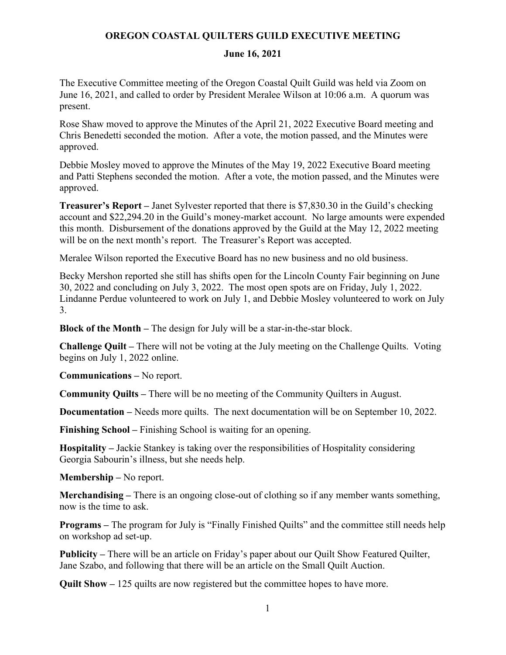## **OREGON COASTAL QUILTERS GUILD EXECUTIVE MEETING**

## **June 16, 2021**

The Executive Committee meeting of the Oregon Coastal Quilt Guild was held via Zoom on June 16, 2021, and called to order by President Meralee Wilson at 10:06 a.m. A quorum was present.

Rose Shaw moved to approve the Minutes of the April 21, 2022 Executive Board meeting and Chris Benedetti seconded the motion. After a vote, the motion passed, and the Minutes were approved.

Debbie Mosley moved to approve the Minutes of the May 19, 2022 Executive Board meeting and Patti Stephens seconded the motion. After a vote, the motion passed, and the Minutes were approved.

**Treasurer's Report –** Janet Sylvester reported that there is \$7,830.30 in the Guild's checking account and \$22,294.20 in the Guild's money-market account. No large amounts were expended this month. Disbursement of the donations approved by the Guild at the May 12, 2022 meeting will be on the next month's report. The Treasurer's Report was accepted.

Meralee Wilson reported the Executive Board has no new business and no old business.

Becky Mershon reported she still has shifts open for the Lincoln County Fair beginning on June 30, 2022 and concluding on July 3, 2022. The most open spots are on Friday, July 1, 2022. Lindanne Perdue volunteered to work on July 1, and Debbie Mosley volunteered to work on July 3.

**Block of the Month –** The design for July will be a star-in-the-star block.

**Challenge Quilt –** There will not be voting at the July meeting on the Challenge Quilts. Voting begins on July 1, 2022 online.

**Communications –** No report.

**Community Quilts –** There will be no meeting of the Community Quilters in August.

**Documentation –** Needs more quilts. The next documentation will be on September 10, 2022.

**Finishing School –** Finishing School is waiting for an opening.

**Hospitality –** Jackie Stankey is taking over the responsibilities of Hospitality considering Georgia Sabourin's illness, but she needs help.

**Membership –** No report.

**Merchandising –** There is an ongoing close-out of clothing so if any member wants something, now is the time to ask.

**Programs –** The program for July is "Finally Finished Quilts" and the committee still needs help on workshop ad set-up.

**Publicity –** There will be an article on Friday's paper about our Quilt Show Featured Quilter, Jane Szabo, and following that there will be an article on the Small Quilt Auction.

**Quilt Show –** 125 quilts are now registered but the committee hopes to have more.